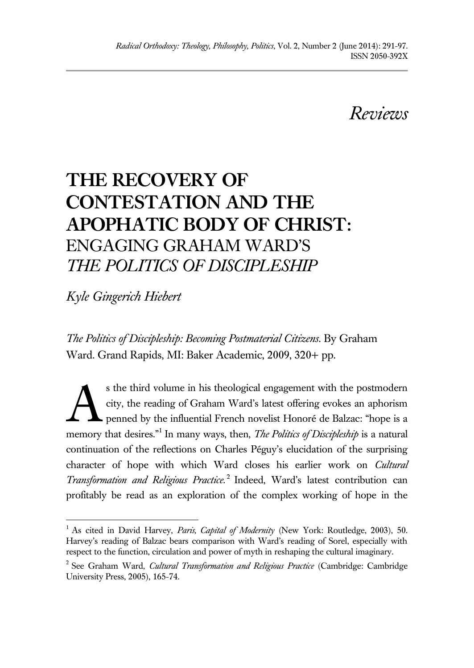*Reviews*

## **THE RECOVERY OF CONTESTATION AND THE APOPHATIC BODY OF CHRIST:**  ENGAGING GRAHAM WARD'S *THE POLITICS OF DISCIPLESHIP*

*Kyle Gingerich Hiebert*

 $\overline{a}$ 

*The Politics of Discipleship: Becoming Postmaterial Citizens*. By Graham Ward. Grand Rapids, MI: Baker Academic, 2009, 320+ pp.

s the third volume in his theological engagement with the postmodern city, the reading of Graham Ward's latest offering evokes an aphorism penned by the influential French novelist Honoré de Balzac: "hope is a memory that desires."<sup>1</sup> In many ways, then, *The Politics of Discipleship* is a natural continuation of the reflections on Charles Péguy's elucidation of the surprising character of hope with which Ward closes his earlier work on *Cultural Transformation and Religious Practice*. 2 Indeed, Ward's latest contribution can profitably be read as an exploration of the complex working of hope in the A

<sup>&</sup>lt;sup>1</sup> As cited in David Harvey, *Paris, Capital of Modernity* (New York: Routledge, 2003), 50. Harvey's reading of Balzac bears comparison with Ward's reading of Sorel, especially with respect to the function, circulation and power of myth in reshaping the cultural imaginary.

<sup>2</sup> See Graham Ward, *Cultural Transformation and Religious Practice* (Cambridge: Cambridge University Press, 2005), 165-74.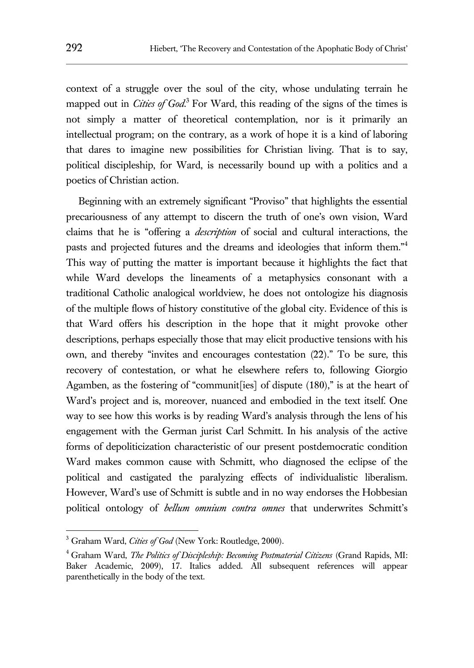context of a struggle over the soul of the city, whose undulating terrain he mapped out in *Cities of God*. 3 For Ward, this reading of the signs of the times is not simply a matter of theoretical contemplation, nor is it primarily an intellectual program; on the contrary, as a work of hope it is a kind of laboring that dares to imagine new possibilities for Christian living. That is to say, political discipleship, for Ward, is necessarily bound up with a politics and a poetics of Christian action.

Beginning with an extremely significant "Proviso" that highlights the essential precariousness of any attempt to discern the truth of one's own vision, Ward claims that he is "offering a *description* of social and cultural interactions, the pasts and projected futures and the dreams and ideologies that inform them.<sup>"4</sup> This way of putting the matter is important because it highlights the fact that while Ward develops the lineaments of a metaphysics consonant with a traditional Catholic analogical worldview, he does not ontologize his diagnosis of the multiple flows of history constitutive of the global city. Evidence of this is that Ward offers his description in the hope that it might provoke other descriptions, perhaps especially those that may elicit productive tensions with his own, and thereby "invites and encourages contestation (22)." To be sure, this recovery of contestation, or what he elsewhere refers to, following Giorgio Agamben, as the fostering of "communit [ies] of dispute (180)," is at the heart of Ward's project and is, moreover, nuanced and embodied in the text itself. One way to see how this works is by reading Ward's analysis through the lens of his engagement with the German jurist Carl Schmitt. In his analysis of the active forms of depoliticization characteristic of our present postdemocratic condition Ward makes common cause with Schmitt, who diagnosed the eclipse of the political and castigated the paralyzing effects of individualistic liberalism. However, Ward's use of Schmitt is subtle and in no way endorses the Hobbesian political ontology of *bellum omnium contra omnes* that underwrites Schmitt's

 $\overline{a}$ 

<sup>3</sup> Graham Ward, *Cities of God* (New York: Routledge, 2000).

<sup>4</sup> Graham Ward, *The Politics of Discipleship: Becoming Postmaterial Citizens* (Grand Rapids, MI: Baker Academic, 2009), 17. Italics added. All subsequent references will appear parenthetically in the body of the text.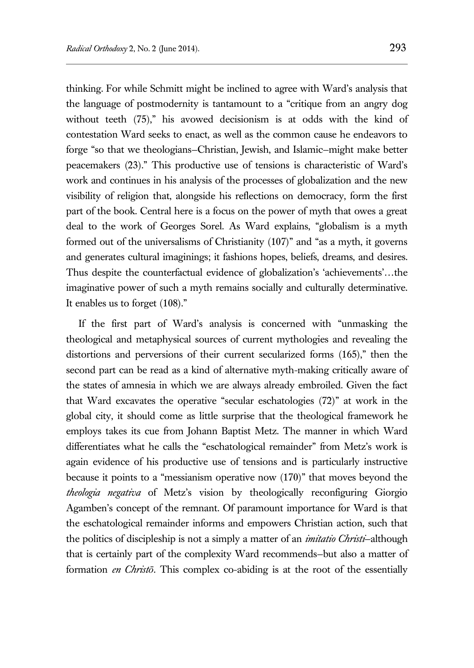thinking. For while Schmitt might be inclined to agree with Ward's analysis that the language of postmodernity is tantamount to a "critique from an angry dog without teeth (75)," his avowed decisionism is at odds with the kind of contestation Ward seeks to enact, as well as the common cause he endeavors to forge "so that we theologians—Christian, Jewish, and Islamic—might make better peacemakers (23)." This productive use of tensions is characteristic of Ward's work and continues in his analysis of the processes of globalization and the new visibility of religion that, alongside his reflections on democracy, form the first part of the book. Central here is a focus on the power of myth that owes a great deal to the work of Georges Sorel. As Ward explains, "globalism is a myth formed out of the universalisms of Christianity (107)" and "as a myth, it governs and generates cultural imaginings; it fashions hopes, beliefs, dreams, and desires. Thus despite the counterfactual evidence of globalization's 'achievements'…the imaginative power of such a myth remains socially and culturally determinative. It enables us to forget (108)."

If the first part of Ward's analysis is concerned with "unmasking the theological and metaphysical sources of current mythologies and revealing the distortions and perversions of their current secularized forms (165)," then the second part can be read as a kind of alternative myth-making critically aware of the states of amnesia in which we are always already embroiled. Given the fact that Ward excavates the operative "secular eschatologies (72)" at work in the global city, it should come as little surprise that the theological framework he employs takes its cue from Johann Baptist Metz. The manner in which Ward differentiates what he calls the "eschatological remainder" from Metz's work is again evidence of his productive use of tensions and is particularly instructive because it points to a "messianism operative now (170)" that moves beyond the *theologia negativa* of Metz's vision by theologically reconfiguring Giorgio Agamben's concept of the remnant. Of paramount importance for Ward is that the eschatological remainder informs and empowers Christian action, such that the politics of discipleship is not a simply a matter of an *imitatio Christi*—although that is certainly part of the complexity Ward recommends—but also a matter of formation *en Christō*. This complex co-abiding is at the root of the essentially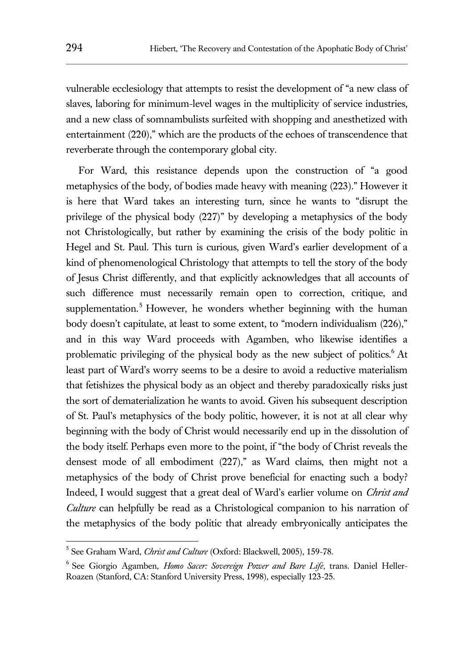vulnerable ecclesiology that attempts to resist the development of "a new class of slaves, laboring for minimum-level wages in the multiplicity of service industries, and a new class of somnambulists surfeited with shopping and anesthetized with entertainment (220)," which are the products of the echoes of transcendence that reverberate through the contemporary global city.

For Ward, this resistance depends upon the construction of "a good metaphysics of the body, of bodies made heavy with meaning (223)." However it is here that Ward takes an interesting turn, since he wants to "disrupt the privilege of the physical body (227)" by developing a metaphysics of the body not Christologically, but rather by examining the crisis of the body politic in Hegel and St. Paul. This turn is curious, given Ward's earlier development of a kind of phenomenological Christology that attempts to tell the story of the body of Jesus Christ differently, and that explicitly acknowledges that all accounts of such difference must necessarily remain open to correction, critique, and supplementation.<sup>5</sup> However, he wonders whether beginning with the human body doesn't capitulate, at least to some extent, to "modern individualism (226)," and in this way Ward proceeds with Agamben, who likewise identifies a problematic privileging of the physical body as the new subject of politics.<sup>6</sup> At least part of Ward's worry seems to be a desire to avoid a reductive materialism that fetishizes the physical body as an object and thereby paradoxically risks just the sort of dematerialization he wants to avoid. Given his subsequent description of St. Paul's metaphysics of the body politic, however, it is not at all clear why beginning with the body of Christ would necessarily end up in the dissolution of the body itself. Perhaps even more to the point, if "the body of Christ reveals the densest mode of all embodiment (227)," as Ward claims, then might not a metaphysics of the body of Christ prove beneficial for enacting such a body? Indeed, I would suggest that a great deal of Ward's earlier volume on *Christ and Culture* can helpfully be read as a Christological companion to his narration of the metaphysics of the body politic that already embryonically anticipates the

 5 See Graham Ward, *Christ and Culture* (Oxford: Blackwell, 2005), 159-78.

<sup>&</sup>lt;sup>6</sup> See Giorgio Agamben, *Homo Sacer: Sovereign Power and Bare Life*, trans. Daniel Heller-Roazen (Stanford, CA: Stanford University Press, 1998), especially 123-25.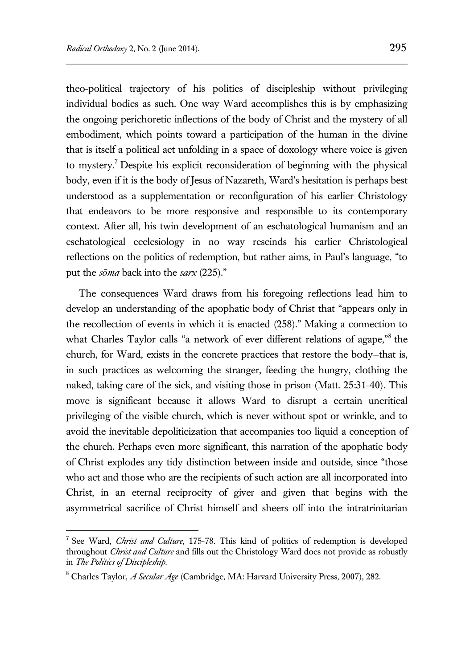theo-political trajectory of his politics of discipleship without privileging individual bodies as such. One way Ward accomplishes this is by emphasizing the ongoing perichoretic inflections of the body of Christ and the mystery of all embodiment, which points toward a participation of the human in the divine that is itself a political act unfolding in a space of doxology where voice is given to mystery.<sup>7</sup> Despite his explicit reconsideration of beginning with the physical body, even if it is the body of Jesus of Nazareth, Ward's hesitation is perhaps best understood as a supplementation or reconfiguration of his earlier Christology that endeavors to be more responsive and responsible to its contemporary context. After all, his twin development of an eschatological humanism and an eschatological ecclesiology in no way rescinds his earlier Christological reflections on the politics of redemption, but rather aims, in Paul's language, "to put the *sōma* back into the *sarx* (225)."

The consequences Ward draws from his foregoing reflections lead him to develop an understanding of the apophatic body of Christ that "appears only in the recollection of events in which it is enacted (258)." Making a connection to what Charles Taylor calls "a network of ever different relations of agape," the church, for Ward, exists in the concrete practices that restore the body—that is, in such practices as welcoming the stranger, feeding the hungry, clothing the naked, taking care of the sick, and visiting those in prison (Matt. 25:31-40). This move is significant because it allows Ward to disrupt a certain uncritical privileging of the visible church, which is never without spot or wrinkle, and to avoid the inevitable depoliticization that accompanies too liquid a conception of the church. Perhaps even more significant, this narration of the apophatic body of Christ explodes any tidy distinction between inside and outside, since "those who act and those who are the recipients of such action are all incorporated into Christ, in an eternal reciprocity of giver and given that begins with the asymmetrical sacrifice of Christ himself and sheers off into the intratrinitarian

<sup>&</sup>lt;sup>7</sup> See Ward, *Christ and Culture*, 175-78. This kind of politics of redemption is developed throughout *Christ and Culture* and fills out the Christology Ward does not provide as robustly in *The Politics of Discipleship*.

<sup>8</sup> Charles Taylor, *A Secular Age* (Cambridge, MA: Harvard University Press, 2007), 282.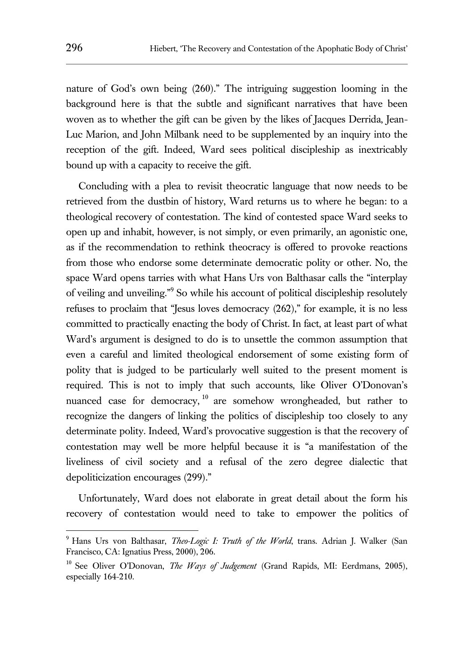nature of God's own being (260)." The intriguing suggestion looming in the background here is that the subtle and significant narratives that have been woven as to whether the gift can be given by the likes of Jacques Derrida, Jean-Luc Marion, and John Milbank need to be supplemented by an inquiry into the reception of the gift. Indeed, Ward sees political discipleship as inextricably bound up with a capacity to receive the gift.

Concluding with a plea to revisit theocratic language that now needs to be retrieved from the dustbin of history, Ward returns us to where he began: to a theological recovery of contestation. The kind of contested space Ward seeks to open up and inhabit, however, is not simply, or even primarily, an agonistic one, as if the recommendation to rethink theocracy is offered to provoke reactions from those who endorse some determinate democratic polity or other. No, the space Ward opens tarries with what Hans Urs von Balthasar calls the "interplay of veiling and unveiling."<sup>9</sup> So while his account of political discipleship resolutely refuses to proclaim that "Jesus loves democracy (262)," for example, it is no less committed to practically enacting the body of Christ. In fact, at least part of what Ward's argument is designed to do is to unsettle the common assumption that even a careful and limited theological endorsement of some existing form of polity that is judged to be particularly well suited to the present moment is required. This is not to imply that such accounts, like Oliver O'Donovan's nuanced case for democracy, <sup>10</sup> are somehow wrongheaded, but rather to recognize the dangers of linking the politics of discipleship too closely to any determinate polity. Indeed, Ward's provocative suggestion is that the recovery of contestation may well be more helpful because it is "a manifestation of the liveliness of civil society and a refusal of the zero degree dialectic that depoliticization encourages (299)."

Unfortunately, Ward does not elaborate in great detail about the form his recovery of contestation would need to take to empower the politics of

 $\overline{a}$ 

<sup>9</sup> Hans Urs von Balthasar, *Theo-Logic I: Truth of the World*, trans. Adrian J. Walker (San Francisco, CA: Ignatius Press, 2000), 206.

<sup>&</sup>lt;sup>10</sup> See Oliver O'Donovan, *The Ways of Judgement* (Grand Rapids, MI: Eerdmans, 2005), especially 164-210.